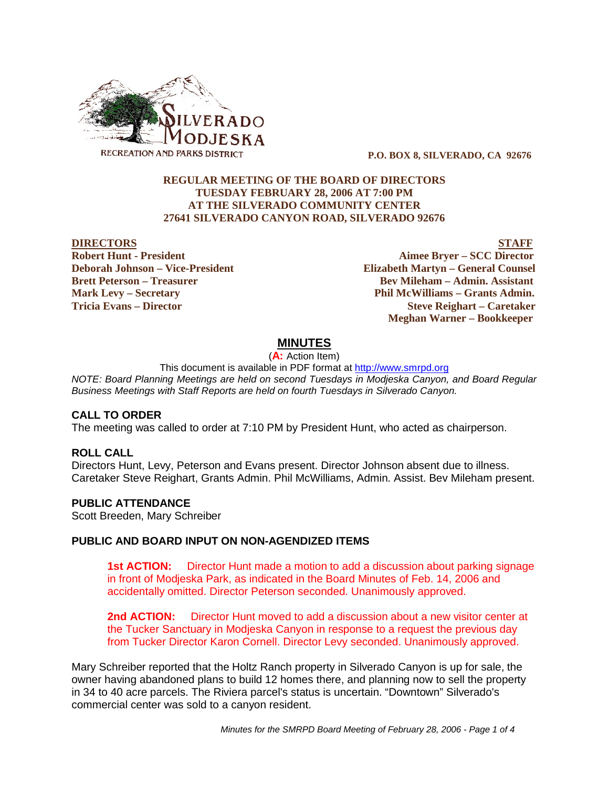

 **P.O. BOX 8, SILVERADO, CA 92676**

### **REGULAR MEETING OF THE BOARD OF DIRECTORS TUESDAY FEBRUARY 28, 2006 AT 7:00 PM AT THE SILVERADO COMMUNITY CENTER 27641 SILVERADO CANYON ROAD, SILVERADO 92676**

#### **DIRECTORS STAFF**

**Robert Hunt - President Aimee Bryer – SCC Director Deborah Johnson – Vice-President Elizabeth Martyn – General Counsel Brett Peterson – Treasurer Serverson – Bev Mileham – Admin. Assistant Mark Levy – Secretary Phil McWilliams – Grants Admin. Tricia Evans – Director Steve Reighart – Caretaker Meghan Warner – Bookkeeper**

## **MINUTES**

(**A:** Action Item)

This document is available in PDF format at http://www.smrpd.org *NOTE: Board Planning Meetings are held on second Tuesdays in Modjeska Canyon, and Board Regular Business Meetings with Staff Reports are held on fourth Tuesdays in Silverado Canyon.*

# **CALL TO ORDER**

The meeting was called to order at 7:10 PM by President Hunt, who acted as chairperson.

#### **ROLL CALL**

Directors Hunt, Levy, Peterson and Evans present. Director Johnson absent due to illness. Caretaker Steve Reighart, Grants Admin. Phil McWilliams, Admin. Assist. Bev Mileham present.

#### **PUBLIC ATTENDANCE**

Scott Breeden, Mary Schreiber

#### **PUBLIC AND BOARD INPUT ON NON-AGENDIZED ITEMS**

**1st ACTION:** Director Hunt made a motion to add a discussion about parking signage in front of Modjeska Park, as indicated in the Board Minutes of Feb. 14, 2006 and accidentally omitted. Director Peterson seconded. Unanimously approved.

**2nd ACTION:** Director Hunt moved to add a discussion about a new visitor center at the Tucker Sanctuary in Modjeska Canyon in response to a request the previous day from Tucker Director Karon Cornell. Director Levy seconded. Unanimously approved.

Mary Schreiber reported that the Holtz Ranch property in Silverado Canyon is up for sale, the owner having abandoned plans to build 12 homes there, and planning now to sell the property in 34 to 40 acre parcels. The Riviera parcel's status is uncertain. "Downtown" Silverado's commercial center was sold to a canyon resident.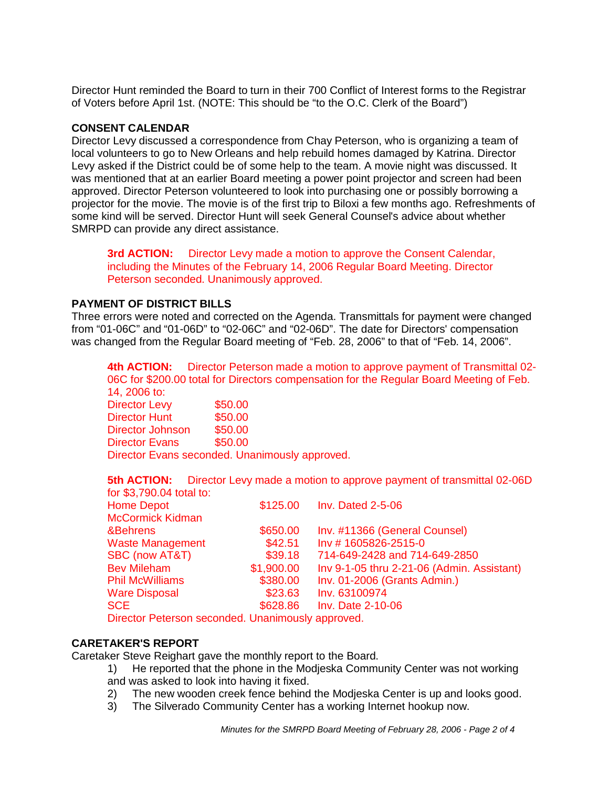Director Hunt reminded the Board to turn in their 700 Conflict of Interest forms to the Registrar of Voters before April 1st. (NOTE: This should be "to the O.C. Clerk of the Board")

### **CONSENT CALENDAR**

Director Levy discussed a correspondence from Chay Peterson, who is organizing a team of local volunteers to go to New Orleans and help rebuild homes damaged by Katrina. Director Levy asked if the District could be of some help to the team. A movie night was discussed. It was mentioned that at an earlier Board meeting a power point projector and screen had been approved. Director Peterson volunteered to look into purchasing one or possibly borrowing a projector for the movie. The movie is of the first trip to Biloxi a few months ago. Refreshments of some kind will be served. Director Hunt will seek General Counsel's advice about whether SMRPD can provide any direct assistance.

**3rd ACTION:** Director Levy made a motion to approve the Consent Calendar, including the Minutes of the February 14, 2006 Regular Board Meeting. Director Peterson seconded. Unanimously approved.

# **PAYMENT OF DISTRICT BILLS**

Three errors were noted and corrected on the Agenda. Transmittals for payment were changed from "01-06C" and "01-06D" to "02-06C" and "02-06D". The date for Directors' compensation was changed from the Regular Board meeting of "Feb. 28, 2006" to that of "Feb. 14, 2006".

**4th ACTION:** Director Peterson made a motion to approve payment of Transmittal 02- 06C for \$200.00 total for Directors compensation for the Regular Board Meeting of Feb. 14, 2006 to:

Director Levy \$50.00 Director Hunt \$50.00 Director Johnson \$50.00 Director Evans \$50.00 Director Evans seconded. Unanimously approved.

**5th ACTION:** Director Levy made a motion to approve payment of transmittal 02-06D for  $$3,790.04$  total to:

| <u>101 DJ. 190.04 เบเติมบ.</u> |            |                                            |
|--------------------------------|------------|--------------------------------------------|
| <b>Home Depot</b>              | \$125.00   | <b>Inv. Dated 2-5-06</b>                   |
| <b>McCormick Kidman</b>        |            |                                            |
| &Behrens                       | \$650.00   | Inv. #11366 (General Counsel)              |
| <b>Waste Management</b>        | \$42.51    | Inv #1605826-2515-0                        |
| <b>SBC (now AT&amp;T)</b>      | \$39.18    | 714-649-2428 and 714-649-2850              |
| <b>Bev Mileham</b>             | \$1,900.00 | Inv 9-1-05 thru 2-21-06 (Admin. Assistant) |
| <b>Phil McWilliams</b>         | \$380.00   | Inv. 01-2006 (Grants Admin.)               |
| <b>Ware Disposal</b>           | \$23.63    | Inv. 63100974                              |
| <b>SCE</b>                     | \$628.86   | Inv. Date 2-10-06                          |
|                                |            |                                            |

Director Peterson seconded. Unanimously approved.

#### **CARETAKER'S REPORT**

Caretaker Steve Reighart gave the monthly report to the Board.

1) He reported that the phone in the Modjeska Community Center was not working and was asked to look into having it fixed.

- 2) The new wooden creek fence behind the Modjeska Center is up and looks good.
- 3) The Silverado Community Center has a working Internet hookup now.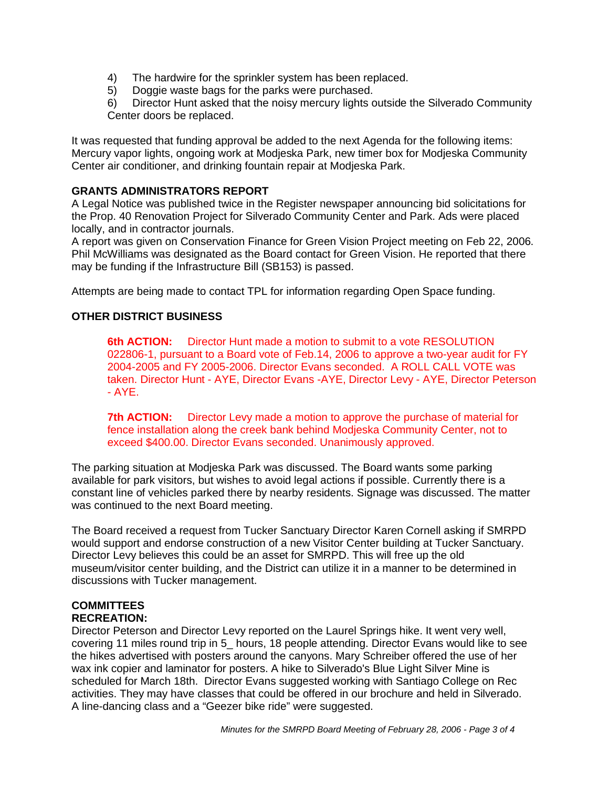- 4) The hardwire for the sprinkler system has been replaced.
- 5) Doggie waste bags for the parks were purchased.

6) Director Hunt asked that the noisy mercury lights outside the Silverado Community Center doors be replaced.

It was requested that funding approval be added to the next Agenda for the following items: Mercury vapor lights, ongoing work at Modjeska Park, new timer box for Modjeska Community Center air conditioner, and drinking fountain repair at Modjeska Park.

# **GRANTS ADMINISTRATORS REPORT**

A Legal Notice was published twice in the Register newspaper announcing bid solicitations for the Prop. 40 Renovation Project for Silverado Community Center and Park. Ads were placed locally, and in contractor journals.

A report was given on Conservation Finance for Green Vision Project meeting on Feb 22, 2006. Phil McWilliams was designated as the Board contact for Green Vision. He reported that there may be funding if the Infrastructure Bill (SB153) is passed.

Attempts are being made to contact TPL for information regarding Open Space funding.

# **OTHER DISTRICT BUSINESS**

**6th ACTION:** Director Hunt made a motion to submit to a vote RESOLUTION 022806-1, pursuant to a Board vote of Feb.14, 2006 to approve a two-year audit for FY 2004-2005 and FY 2005-2006. Director Evans seconded. A ROLL CALL VOTE was taken. Director Hunt - AYE, Director Evans -AYE, Director Levy - AYE, Director Peterson  $-$  AYE.

**7th ACTION:** Director Levy made a motion to approve the purchase of material for fence installation along the creek bank behind Modjeska Community Center, not to exceed \$400.00. Director Evans seconded. Unanimously approved.

The parking situation at Modjeska Park was discussed. The Board wants some parking available for park visitors, but wishes to avoid legal actions if possible. Currently there is a constant line of vehicles parked there by nearby residents. Signage was discussed. The matter was continued to the next Board meeting.

The Board received a request from Tucker Sanctuary Director Karen Cornell asking if SMRPD would support and endorse construction of a new Visitor Center building at Tucker Sanctuary. Director Levy believes this could be an asset for SMRPD. This will free up the old museum/visitor center building, and the District can utilize it in a manner to be determined in discussions with Tucker management.

#### **COMMITTEES RECREATION:**

Director Peterson and Director Levy reported on the Laurel Springs hike. It went very well, covering 11 miles round trip in 5\_ hours, 18 people attending. Director Evans would like to see the hikes advertised with posters around the canyons. Mary Schreiber offered the use of her wax ink copier and laminator for posters. A hike to Silverado's Blue Light Silver Mine is scheduled for March 18th. Director Evans suggested working with Santiago College on Rec activities. They may have classes that could be offered in our brochure and held in Silverado. A line-dancing class and a "Geezer bike ride" were suggested.